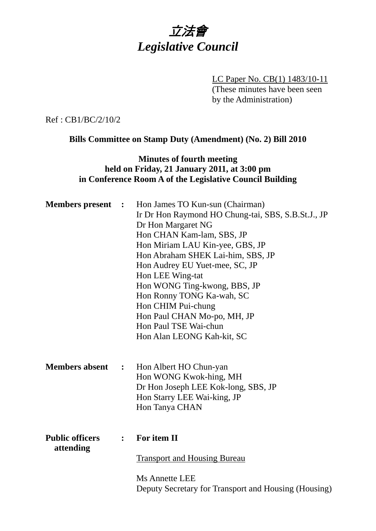

LC Paper No. CB(1) 1483/10-11 (These minutes have been seen by the Administration)

Ref : CB1/BC/2/10/2

**Bills Committee on Stamp Duty (Amendment) (No. 2) Bill 2010** 

## **Minutes of fourth meeting held on Friday, 21 January 2011, at 3:00 pm in Conference Room A of the Legislative Council Building**

| <b>Members</b> present              | $\mathbb{R}^2$   | Hon James TO Kun-sun (Chairman)<br>Ir Dr Hon Raymond HO Chung-tai, SBS, S.B.St.J., JP<br>Dr Hon Margaret NG<br>Hon CHAN Kam-lam, SBS, JP<br>Hon Miriam LAU Kin-yee, GBS, JP<br>Hon Abraham SHEK Lai-him, SBS, JP<br>Hon Audrey EU Yuet-mee, SC, JP<br>Hon LEE Wing-tat<br>Hon WONG Ting-kwong, BBS, JP<br>Hon Ronny TONG Ka-wah, SC<br>Hon CHIM Pui-chung<br>Hon Paul CHAN Mo-po, MH, JP<br>Hon Paul TSE Wai-chun<br>Hon Alan LEONG Kah-kit, SC |
|-------------------------------------|------------------|-------------------------------------------------------------------------------------------------------------------------------------------------------------------------------------------------------------------------------------------------------------------------------------------------------------------------------------------------------------------------------------------------------------------------------------------------|
| <b>Members absent</b>               | $\mathbb{R}^2$   | Hon Albert HO Chun-yan<br>Hon WONG Kwok-hing, MH<br>Dr Hon Joseph LEE Kok-long, SBS, JP<br>Hon Starry LEE Wai-king, JP<br>Hon Tanya CHAN                                                                                                                                                                                                                                                                                                        |
| <b>Public officers</b><br>attending | $\ddot{\bullet}$ | For item II<br><b>Transport and Housing Bureau</b><br><b>Ms Annette LEE</b><br>Deputy Secretary for Transport and Housing (Housing)                                                                                                                                                                                                                                                                                                             |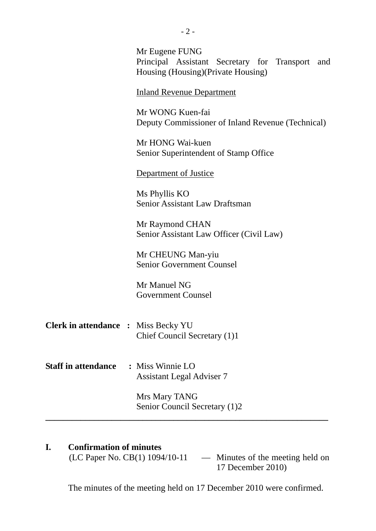|                                            | Mr Eugene FUNG<br>Principal Assistant Secretary for Transport and<br>Housing (Housing) (Private Housing) |
|--------------------------------------------|----------------------------------------------------------------------------------------------------------|
|                                            | <b>Inland Revenue Department</b>                                                                         |
|                                            | Mr WONG Kuen-fai<br>Deputy Commissioner of Inland Revenue (Technical)                                    |
|                                            | Mr HONG Wai-kuen<br>Senior Superintendent of Stamp Office                                                |
|                                            | Department of Justice                                                                                    |
|                                            | Ms Phyllis KO<br>Senior Assistant Law Draftsman                                                          |
|                                            | Mr Raymond CHAN<br>Senior Assistant Law Officer (Civil Law)                                              |
|                                            | Mr CHEUNG Man-yiu<br><b>Senior Government Counsel</b>                                                    |
|                                            | Mr Manuel NG<br><b>Government Counsel</b>                                                                |
| <b>Clerk in attendance : Miss Becky YU</b> | Chief Council Secretary (1)1                                                                             |
| <b>Staff in attendance</b>                 | $\therefore$ Miss Winnie LO<br><b>Assistant Legal Adviser 7</b>                                          |
|                                            | Mrs Mary TANG<br>Senior Council Secretary (1)2                                                           |
|                                            |                                                                                                          |

**I.** Confirmation of minutes<br>(LC Paper No. CB(1) 1094/10-11 - Minutes of the meeting held on 17 December 2010)

The minutes of the meeting held on 17 December 2010 were confirmed.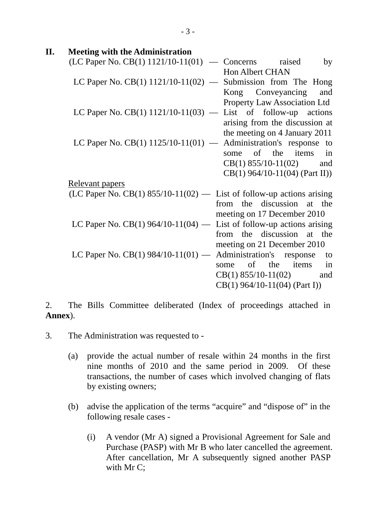| II. | <b>Meeting with the Administration</b>                                  |
|-----|-------------------------------------------------------------------------|
|     | $(LC$ Paper No. $CB(1)$ 1121/10-11(01) - Concerns raised<br>by          |
|     | <b>Hon Albert CHAN</b>                                                  |
|     | LC Paper No. $CB(1)$ 1121/10-11(02) — Submission from The Hong          |
|     | Kong Conveyancing<br>and                                                |
|     | <b>Property Law Association Ltd</b>                                     |
|     | LC Paper No. CB(1) $1121/10-11(03)$ — List of follow-up actions         |
|     | arising from the discussion at                                          |
|     | the meeting on 4 January 2011                                           |
|     | Administration's response to<br>LC Paper No. CB(1) $1125/10-11(01)$ —   |
|     | of the items in<br>some                                                 |
|     | $CB(1)$ 855/10-11(02) and                                               |
|     | $CB(1) 964/10-11(04)$ (Part II))                                        |
|     | Relevant papers                                                         |
|     | (LC Paper No. CB(1) $855/10-11(02)$ — List of follow-up actions arising |
|     | from the discussion at the                                              |
|     | meeting on 17 December 2010                                             |
|     | LC Paper No. CB(1) 964/10-11(04) — List of follow-up actions arising    |
|     | from the discussion at the                                              |
|     | meeting on 21 December 2010                                             |
|     | LC Paper No. $CB(1)$ 984/10-11(01) — Administration's response<br>to    |
|     | of the<br>items<br>in<br>some                                           |
|     | $CB(1)$ 855/10-11(02)<br>and                                            |
|     | $CB(1)$ 964/10-11(04) (Part I))                                         |

2. The Bills Committee deliberated (Index of proceedings attached in **Annex**).

- 3. The Administration was requested to
	- (a) provide the actual number of resale within 24 months in the first nine months of 2010 and the same period in 2009. Of these transactions, the number of cases which involved changing of flats by existing owners;
	- (b) advise the application of the terms "acquire" and "dispose of" in the following resale cases -
		- (i) A vendor (Mr A) signed a Provisional Agreement for Sale and Purchase (PASP) with Mr B who later cancelled the agreement. After cancellation, Mr A subsequently signed another PASP with Mr C;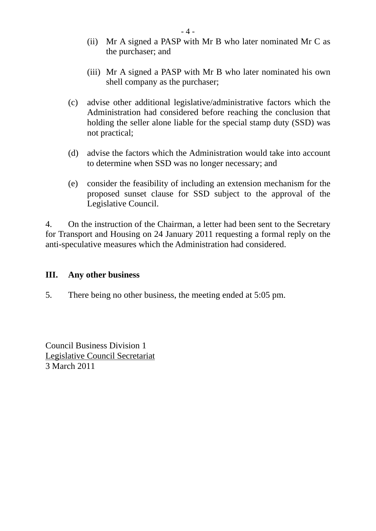- (ii) Mr A signed a PASP with Mr B who later nominated Mr C as the purchaser; and
- (iii) Mr A signed a PASP with Mr B who later nominated his own shell company as the purchaser;
- (c) advise other additional legislative/administrative factors which the Administration had considered before reaching the conclusion that holding the seller alone liable for the special stamp duty (SSD) was not practical;
- (d) advise the factors which the Administration would take into account to determine when SSD was no longer necessary; and
- (e) consider the feasibility of including an extension mechanism for the proposed sunset clause for SSD subject to the approval of the Legislative Council.

4. On the instruction of the Chairman, a letter had been sent to the Secretary for Transport and Housing on 24 January 2011 requesting a formal reply on the anti-speculative measures which the Administration had considered.

## **III. Any other business**

5. There being no other business, the meeting ended at 5:05 pm.

Council Business Division 1 Legislative Council Secretariat 3 March 2011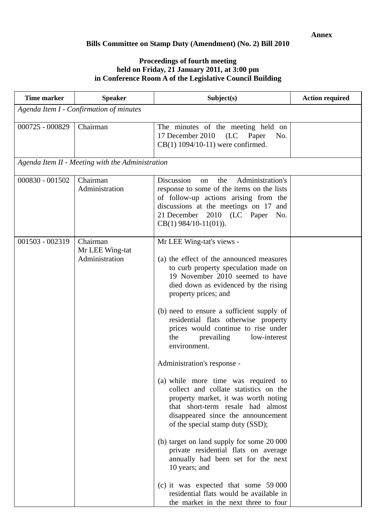## **Bills Committee on Stamp Duty (Amendment) (No. 2) Bill 2010**

## **Proceedings of fourth meeting held on Friday, 21 January 2011, at 3:00 pm in Conference Room A of the Legislative Council Building**

| <b>Time marker</b> | <b>Speaker</b>                                   | Subject(s)                                                                                                                                                                                                                                                                                                                                                                                                                                                                                                                                                                                                                                                                                                                                                                                                                                                                                                                                      | <b>Action required</b> |
|--------------------|--------------------------------------------------|-------------------------------------------------------------------------------------------------------------------------------------------------------------------------------------------------------------------------------------------------------------------------------------------------------------------------------------------------------------------------------------------------------------------------------------------------------------------------------------------------------------------------------------------------------------------------------------------------------------------------------------------------------------------------------------------------------------------------------------------------------------------------------------------------------------------------------------------------------------------------------------------------------------------------------------------------|------------------------|
|                    | Agenda Item I - Confirmation of minutes          |                                                                                                                                                                                                                                                                                                                                                                                                                                                                                                                                                                                                                                                                                                                                                                                                                                                                                                                                                 |                        |
| 000725 - 000829    | Chairman                                         | The minutes of the meeting held on<br>17 December 2010<br>(LC Paper<br>No.<br>$CB(1)$ 1094/10-11) were confirmed.                                                                                                                                                                                                                                                                                                                                                                                                                                                                                                                                                                                                                                                                                                                                                                                                                               |                        |
|                    | Agenda Item II - Meeting with the Administration |                                                                                                                                                                                                                                                                                                                                                                                                                                                                                                                                                                                                                                                                                                                                                                                                                                                                                                                                                 |                        |
| 000830 - 001502    | Chairman<br>Administration                       | Discussion<br>Administration's<br>the<br>on<br>response to some of the items on the lists<br>of follow-up actions arising from the<br>discussions at the meetings on 17 and<br>21 December 2010 (LC Paper<br>No.<br>$CB(1) 984/10-11(01)$ .                                                                                                                                                                                                                                                                                                                                                                                                                                                                                                                                                                                                                                                                                                     |                        |
| 001503 - 002319    | Chairman<br>Mr LEE Wing-tat<br>Administration    | Mr LEE Wing-tat's views -<br>(a) the effect of the announced measures<br>to curb property speculation made on<br>19 November 2010 seemed to have<br>died down as evidenced by the rising<br>property prices; and<br>(b) need to ensure a sufficient supply of<br>residential flats otherwise property<br>prices would continue to rise under<br>prevailing<br>low-interest<br>the<br>environment.<br>Administration's response -<br>(a) while more time was required to<br>collect and collate statistics on the<br>property market, it was worth noting<br>that short-term resale had almost<br>disappeared since the announcement<br>of the special stamp duty (SSD);<br>(b) target on land supply for some 20 000<br>private residential flats on average<br>annually had been set for the next<br>10 years; and<br>(c) it was expected that some $59000$<br>residential flats would be available in<br>the market in the next three to four |                        |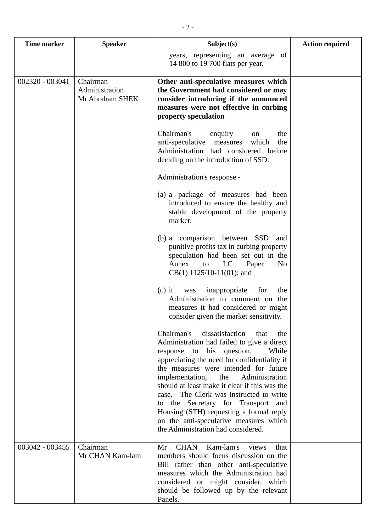| <b>Time marker</b> | <b>Speaker</b>                                | Subject(s)                                                                                                                                                                                                                                                                                                                                                                                                                                                                                                                         | <b>Action required</b> |
|--------------------|-----------------------------------------------|------------------------------------------------------------------------------------------------------------------------------------------------------------------------------------------------------------------------------------------------------------------------------------------------------------------------------------------------------------------------------------------------------------------------------------------------------------------------------------------------------------------------------------|------------------------|
|                    |                                               | years, representing an average of<br>14 800 to 19 700 flats per year.                                                                                                                                                                                                                                                                                                                                                                                                                                                              |                        |
| 002320 - 003041    | Chairman<br>Administration<br>Mr Abraham SHEK | Other anti-speculative measures which<br>the Government had considered or may<br>consider introducing if the announced<br>measures were not effective in curbing<br>property speculation                                                                                                                                                                                                                                                                                                                                           |                        |
|                    |                                               | Chairman's<br>enquiry<br>the<br>on<br>which<br>the<br>anti-speculative<br>measures<br>Administration had considered before<br>deciding on the introduction of SSD.                                                                                                                                                                                                                                                                                                                                                                 |                        |
|                    |                                               | Administration's response -                                                                                                                                                                                                                                                                                                                                                                                                                                                                                                        |                        |
|                    |                                               | (a) a package of measures had been<br>introduced to ensure the healthy and<br>stable development of the property<br>market;                                                                                                                                                                                                                                                                                                                                                                                                        |                        |
|                    |                                               | (b) a comparison between SSD<br>and<br>punitive profits tax in curbing property<br>speculation had been set out in the<br>LC<br>Annex<br>Paper<br>to<br>N <sub>0</sub><br>$CB(1)$ 1125/10-11(01); and                                                                                                                                                                                                                                                                                                                              |                        |
|                    |                                               | $(c)$ it<br>inappropriate<br>for<br>the<br>was<br>Administration to comment on the<br>measures it had considered or might<br>consider given the market sensitivity.                                                                                                                                                                                                                                                                                                                                                                |                        |
|                    |                                               | dissatisfaction<br>Chairman's<br>that<br>the<br>Administration had failed to give a direct<br>response to his question.<br>While<br>appreciating the need for confidentiality if<br>the measures were intended for future<br>implementation,<br>Administration<br>the<br>should at least make it clear if this was the<br>case. The Clerk was instructed to write<br>to the Secretary for Transport and<br>Housing (STH) requesting a formal reply<br>on the anti-speculative measures which<br>the Administration had considered. |                        |
| 003042 - 003455    | Chairman<br>Mr CHAN Kam-lam                   | Kam-lam's<br><b>CHAN</b><br>Mr<br>views<br>that<br>members should focus discussion on the<br>Bill rather than other anti-speculative<br>measures which the Administration had<br>considered or might consider, which<br>should be followed up by the relevant<br>Panels.                                                                                                                                                                                                                                                           |                        |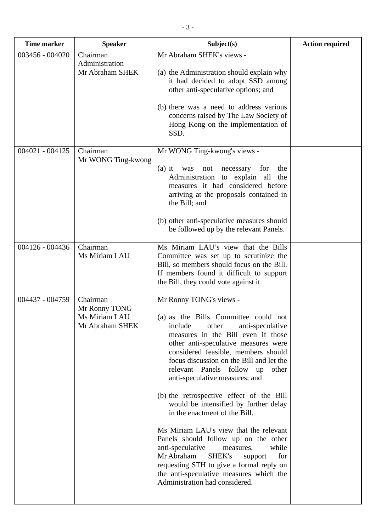| <b>Time marker</b> | <b>Speaker</b>                                                | Subject(s)                                                                                                                                                                                                                                                                                                                                                                                                                                                                                                                                                                                                                                                                                                                                                            | <b>Action required</b> |
|--------------------|---------------------------------------------------------------|-----------------------------------------------------------------------------------------------------------------------------------------------------------------------------------------------------------------------------------------------------------------------------------------------------------------------------------------------------------------------------------------------------------------------------------------------------------------------------------------------------------------------------------------------------------------------------------------------------------------------------------------------------------------------------------------------------------------------------------------------------------------------|------------------------|
| 003456 - 004020    | Chairman<br>Administration<br>Mr Abraham SHEK                 | Mr Abraham SHEK's views -<br>(a) the Administration should explain why<br>it had decided to adopt SSD among<br>other anti-speculative options; and<br>(b) there was a need to address various<br>concerns raised by The Law Society of<br>Hong Kong on the implementation of<br>SSD.                                                                                                                                                                                                                                                                                                                                                                                                                                                                                  |                        |
| $004021 - 004125$  | Chairman<br>Mr WONG Ting-kwong                                | Mr WONG Ting-kwong's views -<br>$(a)$ it<br>for<br>the<br>was<br>not<br>necessary<br>Administration to explain all<br>the<br>measures it had considered before<br>arriving at the proposals contained in<br>the Bill; and<br>(b) other anti-speculative measures should<br>be followed up by the relevant Panels.                                                                                                                                                                                                                                                                                                                                                                                                                                                     |                        |
| 004126 - 004436    | Chairman<br>Ms Miriam LAU                                     | Ms Miriam LAU's view that the Bills<br>Committee was set up to scrutinize the<br>Bill, so members should focus on the Bill.<br>If members found it difficult to support<br>the Bill, they could vote against it.                                                                                                                                                                                                                                                                                                                                                                                                                                                                                                                                                      |                        |
| 004437 - 004759    | Chairman<br>Mr Ronny TONG<br>Ms Miriam LAU<br>Mr Abraham SHEK | Mr Ronny TONG's views -<br>(a) as the Bills Committee could not<br>include<br>other<br>anti-speculative<br>measures in the Bill even if those<br>other anti-speculative measures were<br>considered feasible, members should<br>focus discussion on the Bill and let the<br>relevant Panels follow up<br>other<br>anti-speculative measures; and<br>(b) the retrospective effect of the Bill<br>would be intensified by further delay<br>in the enactment of the Bill.<br>Ms Miriam LAU's view that the relevant<br>Panels should follow up on the other<br>anti-speculative<br>while<br>measures,<br>Mr Abraham<br>SHEK's<br>for<br>support<br>requesting STH to give a formal reply on<br>the anti-speculative measures which the<br>Administration had considered. |                        |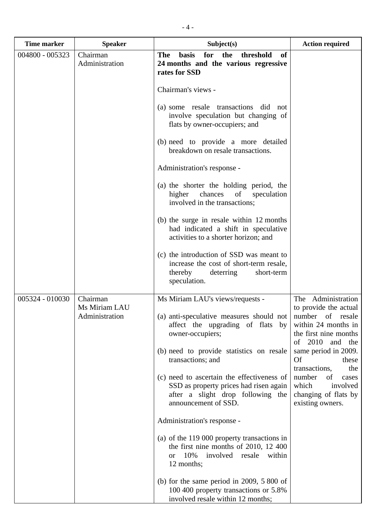| <b>Time marker</b> | <b>Speaker</b>                              | Subject(s)                                                                                                                                                                                                                                                                                    | <b>Action required</b>                                                                                                                                                                                                                                 |
|--------------------|---------------------------------------------|-----------------------------------------------------------------------------------------------------------------------------------------------------------------------------------------------------------------------------------------------------------------------------------------------|--------------------------------------------------------------------------------------------------------------------------------------------------------------------------------------------------------------------------------------------------------|
| 004800 - 005323    | Chairman<br>Administration                  | for<br><b>The</b><br><b>basis</b><br>the<br>threshold<br>of<br>24 months and the various regressive<br>rates for SSD                                                                                                                                                                          |                                                                                                                                                                                                                                                        |
|                    |                                             | Chairman's views -                                                                                                                                                                                                                                                                            |                                                                                                                                                                                                                                                        |
|                    |                                             | (a) some resale transactions did<br>not<br>involve speculation but changing of<br>flats by owner-occupiers; and                                                                                                                                                                               |                                                                                                                                                                                                                                                        |
|                    |                                             | (b) need to provide a more detailed<br>breakdown on resale transactions.                                                                                                                                                                                                                      |                                                                                                                                                                                                                                                        |
|                    |                                             | Administration's response -                                                                                                                                                                                                                                                                   |                                                                                                                                                                                                                                                        |
|                    |                                             | (a) the shorter the holding period, the<br>of<br>chances<br>higher<br>speculation<br>involved in the transactions;                                                                                                                                                                            |                                                                                                                                                                                                                                                        |
|                    |                                             | (b) the surge in resale within 12 months<br>had indicated a shift in speculative<br>activities to a shorter horizon; and                                                                                                                                                                      |                                                                                                                                                                                                                                                        |
|                    |                                             | (c) the introduction of SSD was meant to<br>increase the cost of short-term resale,<br>thereby<br>deterring<br>short-term<br>speculation.                                                                                                                                                     |                                                                                                                                                                                                                                                        |
| 005324 - 010030    | Chairman<br>Ms Miriam LAU<br>Administration | Ms Miriam LAU's views/requests -<br>(a) anti-speculative measures should not<br>affect the upgrading of flats by<br>owner-occupiers;<br>(b) need to provide statistics on resale<br>transactions; and<br>(c) need to ascertain the effectiveness of<br>SSD as property prices had risen again | The Administration<br>to provide the actual<br>number of resale<br>within 24 months in<br>the first nine months<br>of 2010 and the<br>same period in 2009.<br><b>Of</b><br>these<br>transactions,<br>the<br>number<br>of<br>cases<br>involved<br>which |
|                    |                                             | after a slight drop following the<br>announcement of SSD.                                                                                                                                                                                                                                     | changing of flats by<br>existing owners.                                                                                                                                                                                                               |
|                    |                                             | Administration's response -                                                                                                                                                                                                                                                                   |                                                                                                                                                                                                                                                        |
|                    |                                             | (a) of the 119 000 property transactions in<br>the first nine months of 2010, 12 400<br>10%<br>involved resale<br>within<br><b>or</b><br>12 months;                                                                                                                                           |                                                                                                                                                                                                                                                        |
|                    |                                             | (b) for the same period in $2009$ , $5800$ of<br>100 400 property transactions or 5.8%<br>involved resale within 12 months;                                                                                                                                                                   |                                                                                                                                                                                                                                                        |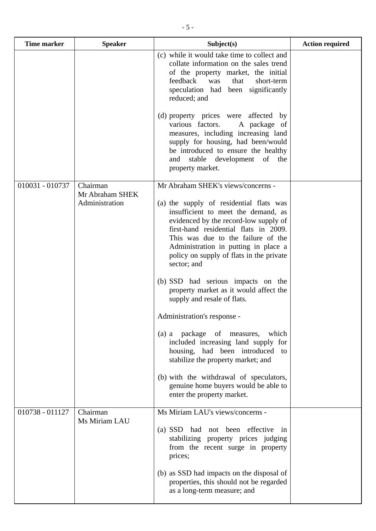| <b>Time marker</b> | <b>Speaker</b>                                | Subject(s)                                                                                                                                                                                                                                                                                                                                                                                                                                                                                                                        | <b>Action required</b> |
|--------------------|-----------------------------------------------|-----------------------------------------------------------------------------------------------------------------------------------------------------------------------------------------------------------------------------------------------------------------------------------------------------------------------------------------------------------------------------------------------------------------------------------------------------------------------------------------------------------------------------------|------------------------|
|                    |                                               | (c) while it would take time to collect and<br>collate information on the sales trend<br>of the property market, the initial<br>feedback<br>was<br>that<br>short-term<br>speculation had been significantly<br>reduced; and                                                                                                                                                                                                                                                                                                       |                        |
|                    |                                               | (d) property prices were affected by<br>various factors.<br>A package of<br>measures, including increasing land<br>supply for housing, had been/would<br>be introduced to ensure the healthy<br>stable<br>development of<br>the<br>and<br>property market.                                                                                                                                                                                                                                                                        |                        |
| 010031 - 010737    | Chairman<br>Mr Abraham SHEK<br>Administration | Mr Abraham SHEK's views/concerns -<br>(a) the supply of residential flats was<br>insufficient to meet the demand, as<br>evidenced by the record-low supply of<br>first-hand residential flats in 2009.<br>This was due to the failure of the<br>Administration in putting in place a<br>policy on supply of flats in the private<br>sector; and<br>(b) SSD had serious impacts on the<br>property market as it would affect the<br>supply and resale of flats.<br>Administration's response -<br>(a) a package of measures, which |                        |
|                    |                                               | included increasing land supply for<br>housing, had been introduced<br>to<br>stabilize the property market; and<br>(b) with the withdrawal of speculators,<br>genuine home buyers would be able to<br>enter the property market.                                                                                                                                                                                                                                                                                                  |                        |
| 010738 - 011127    | Chairman<br>Ms Miriam LAU                     | Ms Miriam LAU's views/concerns -<br>(a) SSD had not been effective in<br>stabilizing property prices judging<br>from the recent surge in property<br>prices;                                                                                                                                                                                                                                                                                                                                                                      |                        |
|                    |                                               | (b) as SSD had impacts on the disposal of<br>properties, this should not be regarded<br>as a long-term measure; and                                                                                                                                                                                                                                                                                                                                                                                                               |                        |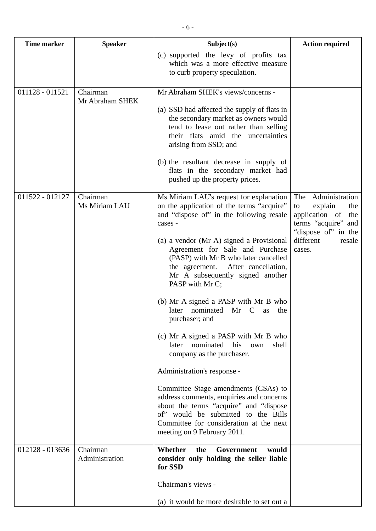| <b>Time marker</b> | <b>Speaker</b>              | Subject(s)                                                                                                                                                                                                                                                                                                                                                                                                                                                                                                                                                                                                                                                                                                                                                                                                                                                                   | <b>Action required</b>                                                                                                                                |
|--------------------|-----------------------------|------------------------------------------------------------------------------------------------------------------------------------------------------------------------------------------------------------------------------------------------------------------------------------------------------------------------------------------------------------------------------------------------------------------------------------------------------------------------------------------------------------------------------------------------------------------------------------------------------------------------------------------------------------------------------------------------------------------------------------------------------------------------------------------------------------------------------------------------------------------------------|-------------------------------------------------------------------------------------------------------------------------------------------------------|
|                    |                             | (c) supported the levy of profits tax<br>which was a more effective measure<br>to curb property speculation.                                                                                                                                                                                                                                                                                                                                                                                                                                                                                                                                                                                                                                                                                                                                                                 |                                                                                                                                                       |
| 011128 - 011521    | Chairman<br>Mr Abraham SHEK | Mr Abraham SHEK's views/concerns -<br>(a) SSD had affected the supply of flats in<br>the secondary market as owners would<br>tend to lease out rather than selling<br>their flats amid the uncertainties<br>arising from SSD; and<br>(b) the resultant decrease in supply of<br>flats in the secondary market had<br>pushed up the property prices.                                                                                                                                                                                                                                                                                                                                                                                                                                                                                                                          |                                                                                                                                                       |
| 011522 - 012127    | Chairman<br>Ms Miriam LAU   | Ms Miriam LAU's request for explanation<br>on the application of the terms "acquire"<br>and "dispose of" in the following resale<br>cases -<br>(a) a vendor (Mr A) signed a Provisional<br>Agreement for Sale and Purchase<br>(PASP) with Mr B who later cancelled<br>After cancellation,<br>the agreement.<br>Mr A subsequently signed another<br>PASP with Mr C;<br>(b) Mr A signed a PASP with Mr B who<br>nominated<br>Mr<br>– C<br>the<br>later<br>as<br>purchaser; and<br>(c) Mr A signed a PASP with Mr B who<br>nominated<br>his<br>later<br>shell<br>own<br>company as the purchaser.<br>Administration's response -<br>Committee Stage amendments (CSAs) to<br>address comments, enquiries and concerns<br>about the terms "acquire" and "dispose<br>of" would be submitted to the Bills<br>Committee for consideration at the next<br>meeting on 9 February 2011. | Administration<br>The<br>explain<br>the<br>to<br>application of<br>the<br>terms "acquire" and<br>"dispose of" in the<br>different<br>resale<br>cases. |
| 012128 - 013636    | Chairman<br>Administration  | Whether<br>the<br>Government<br>would<br>consider only holding the seller liable<br>for SSD<br>Chairman's views -<br>(a) it would be more desirable to set out a                                                                                                                                                                                                                                                                                                                                                                                                                                                                                                                                                                                                                                                                                                             |                                                                                                                                                       |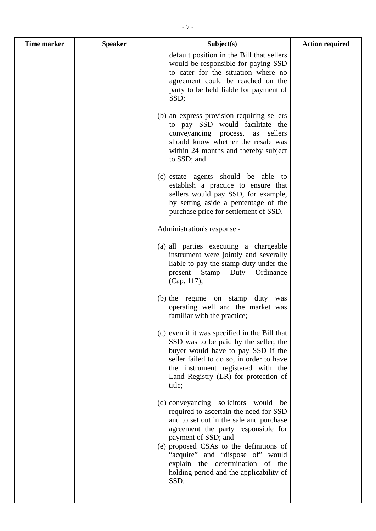| <b>Time marker</b> | <b>Speaker</b> | Subject(s)                                                                                                                                                                                                                                                                                                                                            | <b>Action required</b> |
|--------------------|----------------|-------------------------------------------------------------------------------------------------------------------------------------------------------------------------------------------------------------------------------------------------------------------------------------------------------------------------------------------------------|------------------------|
|                    |                | default position in the Bill that sellers<br>would be responsible for paying SSD<br>to cater for the situation where no<br>agreement could be reached on the<br>party to be held liable for payment of<br>SSD;                                                                                                                                        |                        |
|                    |                | (b) an express provision requiring sellers<br>to pay SSD would facilitate the<br>conveyancing process, as<br>sellers<br>should know whether the resale was<br>within 24 months and thereby subject<br>to SSD; and                                                                                                                                     |                        |
|                    |                | (c) estate agents should be able to<br>establish a practice to ensure that<br>sellers would pay SSD, for example,<br>by setting aside a percentage of the<br>purchase price for settlement of SSD.                                                                                                                                                    |                        |
|                    |                | Administration's response -                                                                                                                                                                                                                                                                                                                           |                        |
|                    |                | (a) all parties executing a chargeable<br>instrument were jointly and severally<br>liable to pay the stamp duty under the<br>Ordinance<br>present<br>Stamp<br>Duty<br>(Cap. 117);                                                                                                                                                                     |                        |
|                    |                | (b) the regime on stamp duty was<br>operating well and the market was<br>familiar with the practice;                                                                                                                                                                                                                                                  |                        |
|                    |                | (c) even if it was specified in the Bill that<br>SSD was to be paid by the seller, the<br>buyer would have to pay SSD if the<br>seller failed to do so, in order to have<br>the instrument registered with the<br>Land Registry (LR) for protection of<br>title;                                                                                      |                        |
|                    |                | (d) conveyancing solicitors would be<br>required to ascertain the need for SSD<br>and to set out in the sale and purchase<br>agreement the party responsible for<br>payment of SSD; and<br>(e) proposed CSAs to the definitions of<br>"acquire" and "dispose of" would<br>explain the determination of the<br>holding period and the applicability of |                        |
|                    |                | SSD.                                                                                                                                                                                                                                                                                                                                                  |                        |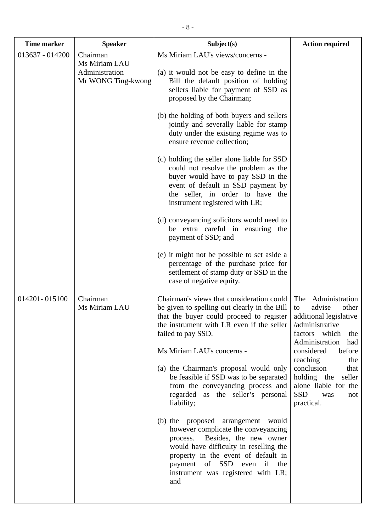| <b>Time marker</b> | <b>Speaker</b>                                                    | Subject(s)                                                                                                                                                                                                                                                                  | <b>Action required</b>                                                                                                                       |
|--------------------|-------------------------------------------------------------------|-----------------------------------------------------------------------------------------------------------------------------------------------------------------------------------------------------------------------------------------------------------------------------|----------------------------------------------------------------------------------------------------------------------------------------------|
| 013637 - 014200    | Chairman<br>Ms Miriam LAU<br>Administration<br>Mr WONG Ting-kwong | Ms Miriam LAU's views/concerns -<br>(a) it would not be easy to define in the<br>Bill the default position of holding<br>sellers liable for payment of SSD as<br>proposed by the Chairman;                                                                                  |                                                                                                                                              |
|                    |                                                                   | (b) the holding of both buyers and sellers<br>jointly and severally liable for stamp<br>duty under the existing regime was to<br>ensure revenue collection;                                                                                                                 |                                                                                                                                              |
|                    |                                                                   | (c) holding the seller alone liable for SSD<br>could not resolve the problem as the<br>buyer would have to pay SSD in the<br>event of default in SSD payment by<br>the seller, in order to have the<br>instrument registered with LR;                                       |                                                                                                                                              |
|                    |                                                                   | (d) conveyancing solicitors would need to<br>be extra careful in ensuring the<br>payment of SSD; and                                                                                                                                                                        |                                                                                                                                              |
|                    |                                                                   | (e) it might not be possible to set aside a<br>percentage of the purchase price for<br>settlement of stamp duty or SSD in the<br>case of negative equity.                                                                                                                   |                                                                                                                                              |
| 014201-015100      | Chairman<br>Ms Miriam LAU                                         | Chairman's views that consideration could<br>be given to spelling out clearly in the Bill<br>that the buyer could proceed to register<br>the instrument with LR even if the seller<br>failed to pay SSD.                                                                    | Administration<br>The<br>advise<br>other<br>to<br>additional legislative<br>/administrative<br>factors which<br>the<br>Administration<br>had |
|                    |                                                                   | Ms Miriam LAU's concerns -                                                                                                                                                                                                                                                  | considered<br>before                                                                                                                         |
|                    |                                                                   | (a) the Chairman's proposal would only<br>be feasible if SSD was to be separated<br>from the conveyancing process and<br>regarded as the seller's personal<br>liability;                                                                                                    | reaching<br>the<br>conclusion<br>that<br>holding the<br>seller<br>alone liable for the<br><b>SSD</b><br>was<br>not<br>practical.             |
|                    |                                                                   | (b) the proposed arrangement would<br>however complicate the conveyancing<br>Besides, the new owner<br>process.<br>would have difficulty in reselling the<br>property in the event of default in<br>payment of SSD even if the<br>instrument was registered with LR;<br>and |                                                                                                                                              |